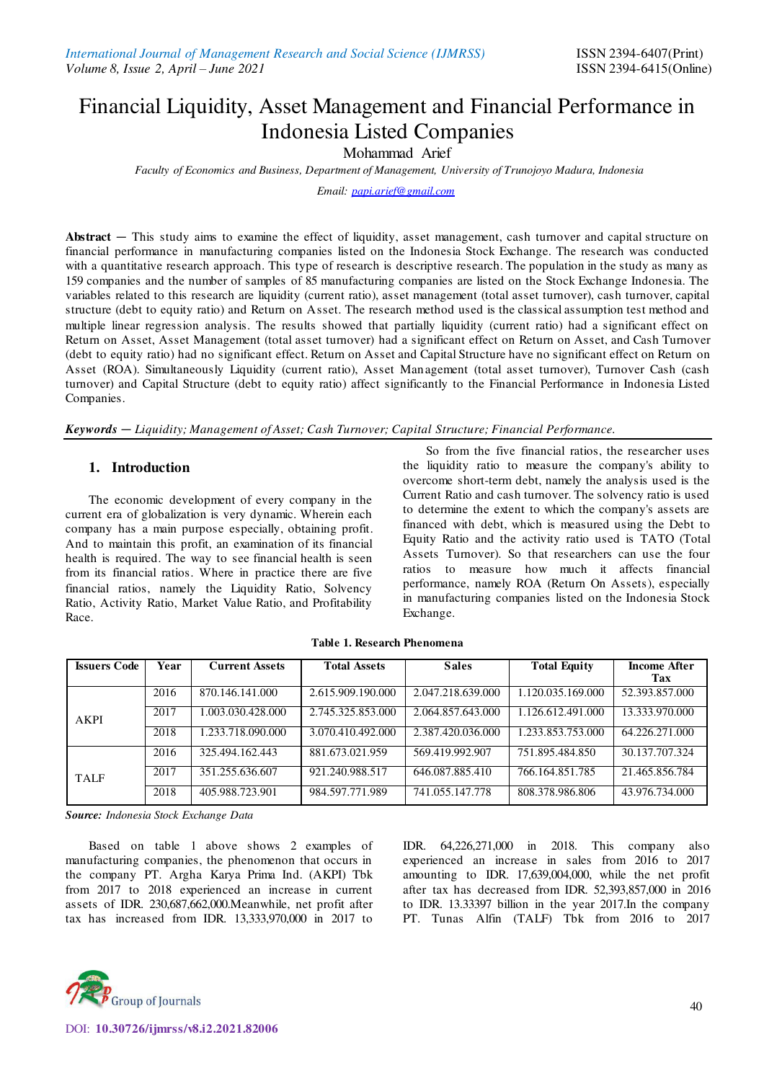# Financial Liquidity, Asset Management and Financial Performance in Indonesia Listed Companies

Mohammad Arief

*Faculty of Economics and Business, Department of Management, University of Trunojoyo Madura, Indonesia* 

*Email[: papi.arief@gmail.com](mailto:papi.arief@gmail.com)*

Abstract — This study aims to examine the effect of liquidity, asset management, cash turnover and capital structure on financial performance in manufacturing companies listed on the Indonesia Stock Exchange. The research was conducted with a quantitative research approach. This type of research is descriptive research. The population in the study as many as 159 companies and the number of samples of 85 manufacturing companies are listed on the Stock Exchange Indonesia. The variables related to this research are liquidity (current ratio), asset management (total asset turnover), cash turnover, capital structure (debt to equity ratio) and Return on Asset. The research method used is the classical assumption test method and multiple linear regression analysis. The results showed that partially liquidity (current ratio) had a significant effect on Return on Asset, Asset Management (total asset turnover) had a significant effect on Return on Asset, and Cash Turnover (debt to equity ratio) had no significant effect. Return on Asset and Capital Structure have no significant effect on Return on Asset (ROA). Simultaneously Liquidity (current ratio), Asset Management (total asset turnover), Turnover Cash (cash turnover) and Capital Structure (debt to equity ratio) affect significantly to the Financial Performance in Indonesia Listed Companies.

*Keywords — Liquidity; Management of Asset; Cash Turnover; Capital Structure; Financial Performance.*

#### **1. Introduction**

The economic development of every company in the current era of globalization is very dynamic. Wherein each company has a main purpose especially, obtaining profit. And to maintain this profit, an examination of its financial health is required. The way to see financial health is seen from its financial ratios. Where in practice there are five financial ratios, namely the Liquidity Ratio, Solvency Ratio, Activity Ratio, Market Value Ratio, and Profitability Race.

So from the five financial ratios, the researcher uses the liquidity ratio to measure the company's ability to overcome short-term debt, namely the analysis used is the Current Ratio and cash turnover. The solvency ratio is used to determine the extent to which the company's assets are financed with debt, which is measured using the Debt to Equity Ratio and the activity ratio used is TATO (Total Assets Turnover). So that researchers can use the four ratios to measure how much it affects financial performance, namely ROA (Return On Assets), especially in manufacturing companies listed on the Indonesia Stock Exchange.

| <b>Issuers Code</b> | Year | <b>Current Assets</b> | <b>Total Assets</b> | <b>Sales</b>      | <b>Total Equity</b> | <b>Income After</b> |
|---------------------|------|-----------------------|---------------------|-------------------|---------------------|---------------------|
|                     |      |                       |                     |                   |                     | Tax                 |
|                     | 2016 | 870.146.141.000       | 2.615.909.190.000   | 2.047.218.639.000 | 1.120.035.169.000   | 52.393.857.000      |
| <b>AKPI</b>         | 2017 | .003.030.428.000      | 2.745.325.853.000   | 2.064.857.643.000 | 1.126.612.491.000   | 13.333.970.000      |
|                     | 2018 | 1.233.718.090.000     | 3.070.410.492.000   | 2.387.420.036.000 | 1.233.853.753.000   | 64.226.271.000      |
|                     | 2016 | 325.494.162.443       | 881.673.021.959     | 569.419.992.907   | 751.895.484.850     | 30.137.707.324      |
| <b>TALF</b>         | 2017 | 351.255.636.607       | 921.240.988.517     | 646.087.885.410   | 766.164.851.785     | 21.465.856.784      |
|                     | 2018 | 405.988.723.901       | 984.597.771.989     | 741.055.147.778   | 808.378.986.806     | 43.976.734.000      |

**Table 1. Research Phenomena** 

*Source: Indonesia Stock Exchange Data* 

Based on table 1 above shows 2 examples of manufacturing companies, the phenomenon that occurs in the company PT. Argha Karya Prima Ind. (AKPI) Tbk from 2017 to 2018 experienced an increase in current assets of IDR. 230,687,662,000.Meanwhile, net profit after tax has increased from IDR. 13,333,970,000 in 2017 to IDR. 64,226,271,000 in 2018. This company also experienced an increase in sales from 2016 to 2017 amounting to IDR. 17,639,004,000, while the net profit after tax has decreased from IDR. 52,393,857,000 in 2016 to IDR. 13.33397 billion in the year 2017.In the company PT. Tunas Alfin (TALF) Tbk from 2016 to 2017

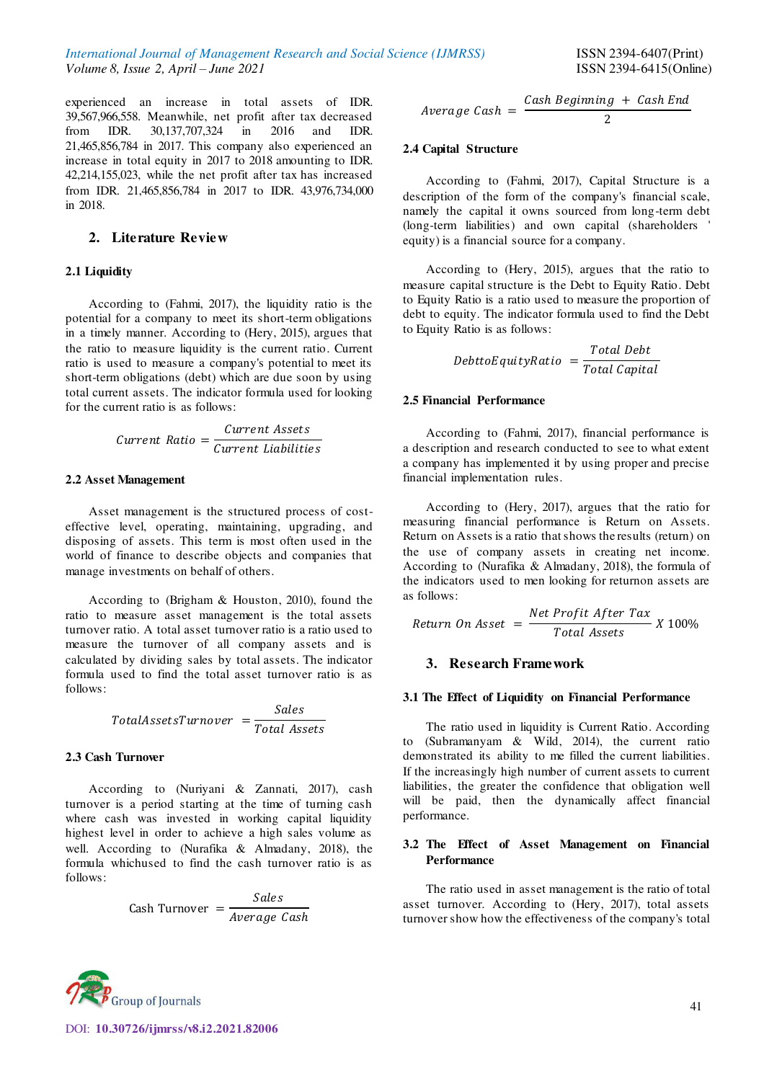experienced an increase in total assets of IDR. 39,567,966,558. Meanwhile, net profit after tax decreased<br>from IDR. 30,137,707,324 in 2016 and IDR. 30,137,707,324 21,465,856,784 in 2017. This company also experienced an increase in total equity in 2017 to 2018 amounting to IDR. 42,214,155,023, while the net profit after tax has increased from IDR. 21,465,856,784 in 2017 to IDR. 43,976,734,000 in 2018.

#### **2. Literature Review**

#### **2.1 Liquidity**

According to (Fahmi, 2017), the liquidity ratio is the potential for a company to meet its short-term obligations in a timely manner. According to (Hery, 2015), argues that the ratio to measure liquidity is the current ratio. Current ratio is used to measure a company's potential to meet its short-term obligations (debt) which are due soon by using total current assets. The indicator formula used for looking for the current ratio is as follows:

$$
Current Ratio = \frac{Current Assets}{Current Liabilities}
$$

#### **2.2 Asset Management**

Asset management is the structured process of costeffective level, operating, maintaining, upgrading, and disposing of assets. This term is most often used in the world of finance to describe objects and companies that manage investments on behalf of others.

According to (Brigham & Houston, 2010), found the ratio to measure asset management is the total assets turnover ratio. A total asset turnover ratio is a ratio used to measure the turnover of all company assets and is calculated by dividing sales by total assets. The indicator formula used to find the total asset turnover ratio is as follows:

> TotalAssetsTurnover = Sales Total Assets

### **2.3 Cash Turnover**

According to (Nuriyani & Zannati, 2017), cash turnover is a period starting at the time of turning cash where cash was invested in working capital liquidity highest level in order to achieve a high sales volume as well. According to (Nurafika & Almadany, 2018), the formula whichused to find the cash turnover ratio is as follows:

$$
Cash Turner = \frac{Sales}{Average Cash}
$$

$$
Average Cash = \frac{Cash Beginning + Cash End}{2}
$$

## **2.4 Capital Structure**

According to (Fahmi, 2017), Capital Structure is a description of the form of the company's financial scale, namely the capital it owns sourced from long-term debt (long-term liabilities) and own capital (shareholders ' equity) is a financial source for a company.

According to (Hery, 2015), argues that the ratio to measure capital structure is the Debt to Equity Ratio. Debt to Equity Ratio is a ratio used to measure the proportion of debt to equity. The indicator formula used to find the Debt to Equity Ratio is as follows:

$$
DebttoEquityRatio = \frac{Total\;Debt}{Total\; Capital}
$$

#### **2.5 Financial Performance**

According to (Fahmi, 2017), financial performance is a description and research conducted to see to what extent a company has implemented it by using proper and precise financial implementation rules.

According to (Hery, 2017), argues that the ratio for measuring financial performance is Return on Assets. Return on Assets is a ratio that shows the results (return) on the use of company assets in creating net income. According to (Nurafika & Almadany, 2018), the formula of the indicators used to men looking for returnon assets are as follows:

$$
Return\ On\ Asset = \frac{Net\ Profit\ After\ Tax}{Total\ Assets} \ X\ 100\%
$$

#### **3. Research Framework**

#### **3.1 The Effect of Liquidity on Financial Performance**

The ratio used in liquidity is Current Ratio. According to (Subramanyam & Wild, 2014), the current ratio demonstrated its ability to me filled the current liabilities. If the increasingly high number of current assets to current liabilities, the greater the confidence that obligation well will be paid, then the dynamically affect financial performance.

#### **3.2 The Effect of Asset Management on Financial Performance**

The ratio used in asset management is the ratio of total asset turnover. According to (Hery, 2017), total assets turnover show how the effectiveness of the company's total



DOI: **10.30726/ijmrss/v8.i2.2021.82006**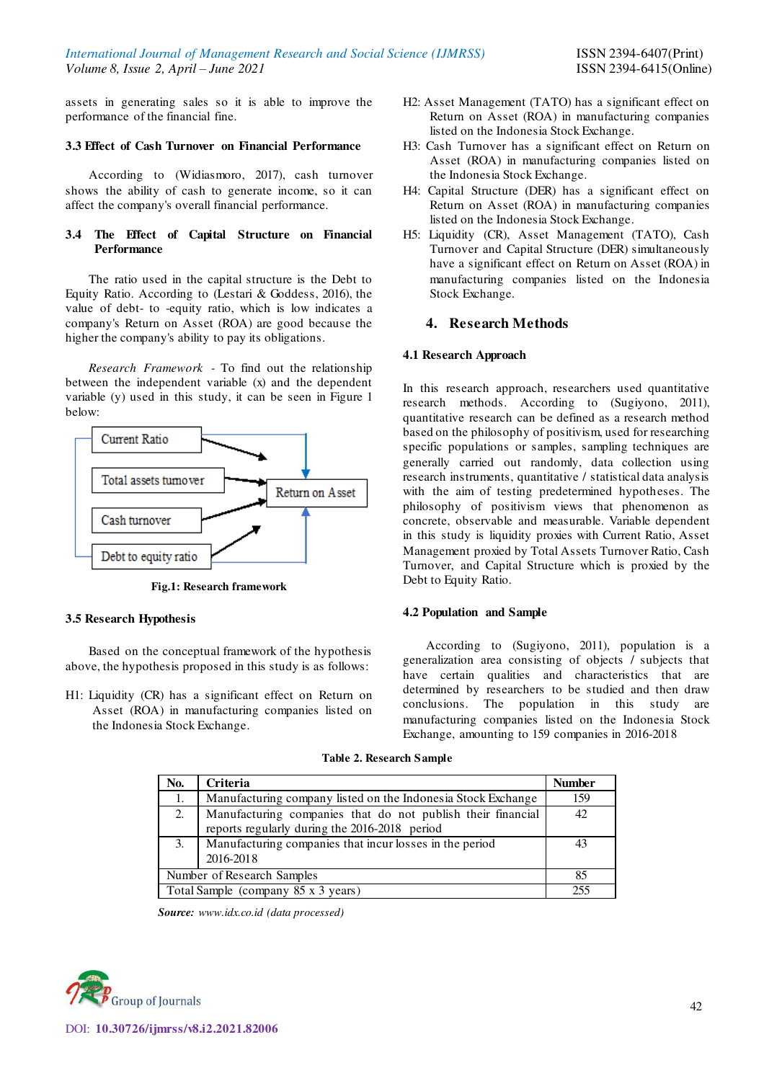assets in generating sales so it is able to improve the performance of the financial fine.

## **3.3 Effect of Cash Turnover on Financial Performance**

According to (Widiasmoro, 2017), cash turnover shows the ability of cash to generate income, so it can affect the company's overall financial performance.

## **3.4 The Effect of Capital Structure on Financial Performance**

The ratio used in the capital structure is the Debt to Equity Ratio. According to (Lestari & Goddess, 2016), the value of debt- to -equity ratio, which is low indicates a company's Return on Asset (ROA) are good because the higher the company's ability to pay its obligations.

*Research Framework -* To find out the relationship between the independent variable (x) and the dependent variable (y) used in this study, it can be seen in Figure 1 below:



**Fig.1: Research framework** 

#### **3.5 Research Hypothesis**

Based on the conceptual framework of the hypothesis above, the hypothesis proposed in this study is as follows:

H1: Liquidity (CR) has a significant effect on Return on Asset (ROA) in manufacturing companies listed on the Indonesia Stock Exchange.

- H2: Asset Management (TATO) has a significant effect on Return on Asset (ROA) in manufacturing companies listed on the Indonesia Stock Exchange.
- H3: Cash Turnover has a significant effect on Return on Asset (ROA) in manufacturing companies listed on the Indonesia Stock Exchange.
- H4: Capital Structure (DER) has a significant effect on Return on Asset (ROA) in manufacturing companies listed on the Indonesia Stock Exchange.
- H5: Liquidity (CR), Asset Management (TATO), Cash Turnover and Capital Structure (DER) simultaneously have a significant effect on Return on Asset (ROA) in manufacturing companies listed on the Indonesia Stock Exchange.

## **4. Research Methods**

#### **4.1 Research Approach**

In this research approach, researchers used quantitative research methods. According to (Sugiyono, 2011), quantitative research can be defined as a research method based on the philosophy of positivism, used for researching specific populations or samples, sampling techniques are generally carried out randomly, data collection using research instruments, quantitative / statistical data analysis with the aim of testing predetermined hypotheses. The philosophy of positivism views that phenomenon as concrete, observable and measurable. Variable dependent in this study is liquidity proxies with Current Ratio, Asset Management proxied by Total Assets Turnover Ratio, Cash Turnover, and Capital Structure which is proxied by the Debt to Equity Ratio.

#### **4.2 Population and Sample**

According to (Sugiyono, 2011), population is a generalization area consisting of objects / subjects that have certain qualities and characteristics that are determined by researchers to be studied and then draw conclusions. The population in this study are manufacturing companies listed on the Indonesia Stock Exchange, amounting to 159 companies in 2016-2018

| No.                                 | Criteria                                                                                                     | <b>Number</b> |
|-------------------------------------|--------------------------------------------------------------------------------------------------------------|---------------|
| 1.                                  | Manufacturing company listed on the Indonesia Stock Exchange                                                 | 159           |
| 2.                                  | Manufacturing companies that do not publish their financial<br>reports regularly during the 2016-2018 period | 42            |
| 3.                                  | Manufacturing companies that incur losses in the period<br>2016-2018                                         |               |
|                                     | Number of Research Samples                                                                                   | 85            |
| Total Sample (company 85 x 3 years) | 255                                                                                                          |               |

**Table 2. Research Sample** 

*Source: www.idx.co.id (data processed)* 

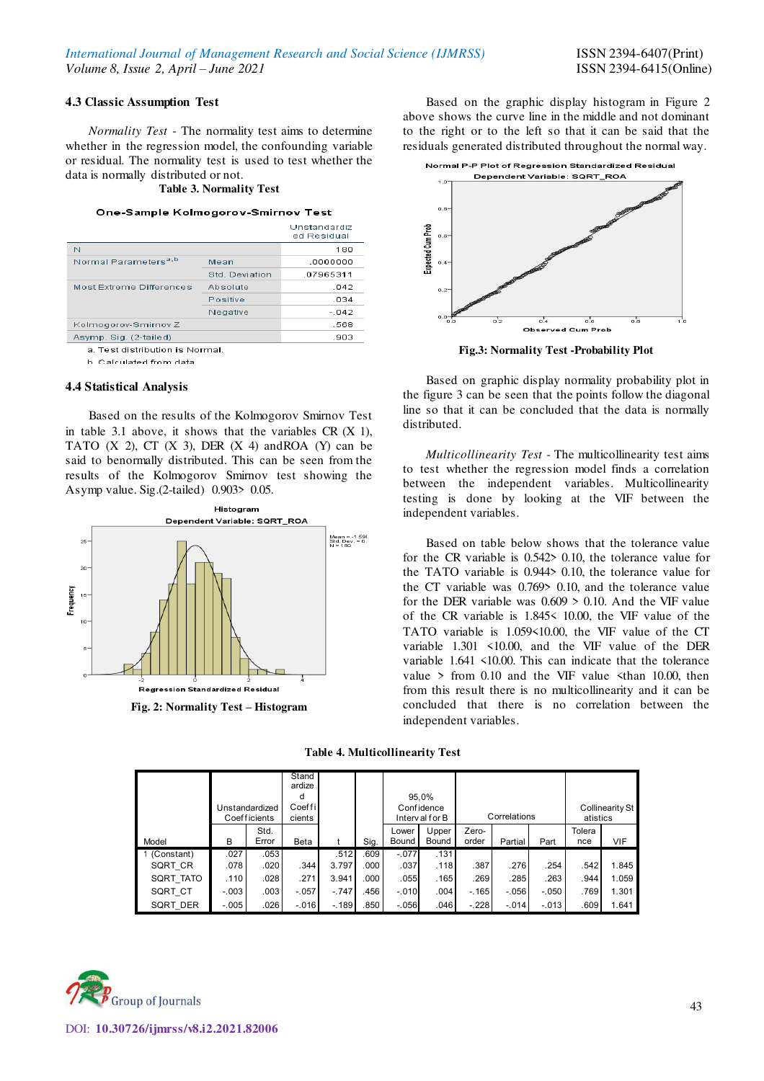#### **4.3 Classic Assumption Test**

*Normality Test* - The normality test aims to determine whether in the regression model, the confounding variable or residual. The normality test is used to test whether the data is normally distributed or not.

# **Table 3. Normality Test**

#### One-Sample Kolmogorov-Smirnov Test

|                                  |                | Unstandardiz<br>ed Residual |
|----------------------------------|----------------|-----------------------------|
| N                                |                | 180                         |
| Normal Parameters <sup>a,b</sup> | Mean           | .0000000                    |
|                                  | Std. Deviation | .07965311                   |
| Most Extreme Differences         | Absolute       | .042                        |
|                                  | Positive       | .034                        |
|                                  | Negative       | $-.042$                     |
| Kolmogorov-Smirnov Z             |                | .568                        |
| Asymp. Sig. (2-tailed)           |                | .903                        |
|                                  |                |                             |

a. Test distribution is Normal

b. Calculated from data

#### **4.4 Statistical Analysis**

Based on the results of the Kolmogorov Smirnov Test in table 3.1 above, it shows that the variables  $CR(X_1)$ , TATO  $(X 2)$ , CT  $(X 3)$ , DER  $(X 4)$  and ROA  $(Y)$  can be said to benormally distributed. This can be seen from the results of the Kolmogorov Smirnov test showing the Asymp value. Sig.(2-tailed) 0.903> 0.05.



**Fig. 2: Normality Test – Histogram** 

Based on the graphic display histogram in Figure 2 above shows the curve line in the middle and not dominant to the right or to the left so that it can be said that the residuals generated distributed throughout the normal way.



**Fig.3: Normality Test -Probability Plot** 

Based on graphic display normality probability plot in the figure 3 can be seen that the points follow the diagonal line so that it can be concluded that the data is normally distributed.

*Multicollinearity Test -* The multicollinearity test aims to test whether the regression model finds a correlation between the independent variables. Multicollinearity testing is done by looking at the VIF between the independent variables.

Based on table below shows that the tolerance value for the CR variable is 0.542> 0.10, the tolerance value for the TATO variable is 0.944> 0.10, the tolerance value for the CT variable was 0.769> 0.10, and the tolerance value for the DER variable was  $0.609 > 0.10$ . And the VIF value of the CR variable is 1.845< 10.00, the VIF value of the TATO variable is 1.059<10.00, the VIF value of the CT variable 1.301 <10.00, and the VIF value of the DER variable 1.641 <10.00. This can indicate that the tolerance value  $>$  from 0.10 and the VIF value  $\le$ than 10.00, then from this result there is no multicollinearity and it can be concluded that there is no correlation between the independent variables.

**Table 4. Multicollinearity Test** 

|            |         | Unstandardized<br>Coefficients | Stand<br>ardize<br>d<br>Coeffil<br>cients |         |      |                | 95.0%<br>Confidence<br>Interval for B |                | Correlations |         | atistics      | Collinearity St |
|------------|---------|--------------------------------|-------------------------------------------|---------|------|----------------|---------------------------------------|----------------|--------------|---------|---------------|-----------------|
| Model      | B       | Std.<br>Error                  | Beta                                      |         | Sig. | Lower<br>Bound | Upper<br>Bound                        | Zero-<br>order | Partial      | Part    | Tolera<br>nce | VIF             |
| (Constant) | .027    | .053                           |                                           | .512    | .609 | $-.077$        | .131                                  |                |              |         |               |                 |
| SQRT CR    | .078    | .020                           | .344                                      | 3.797   | .000 | .037           | .118                                  | .387           | .276         | .254    | .542          | 1.845           |
| SQRT TATO  | .110    | .028                           | .271                                      | 3.941   | .000 | .055           | .165                                  | .269           | .285         | .263    | .944          | 1.059           |
| SQRT CT    | $-.003$ | .003                           | $-.057$                                   | $-.747$ | .456 | $-.010$        | .004                                  | $-165$         | $-.056$      | $-.050$ | .769          | 1.301           |
| SQRT DER   | $-.005$ | .026                           | $-.016$                                   | $-189$  | .850 | $-.056$        | .046                                  | $-.228$        | $-.014$      | $-.013$ | .609          | 1.641           |

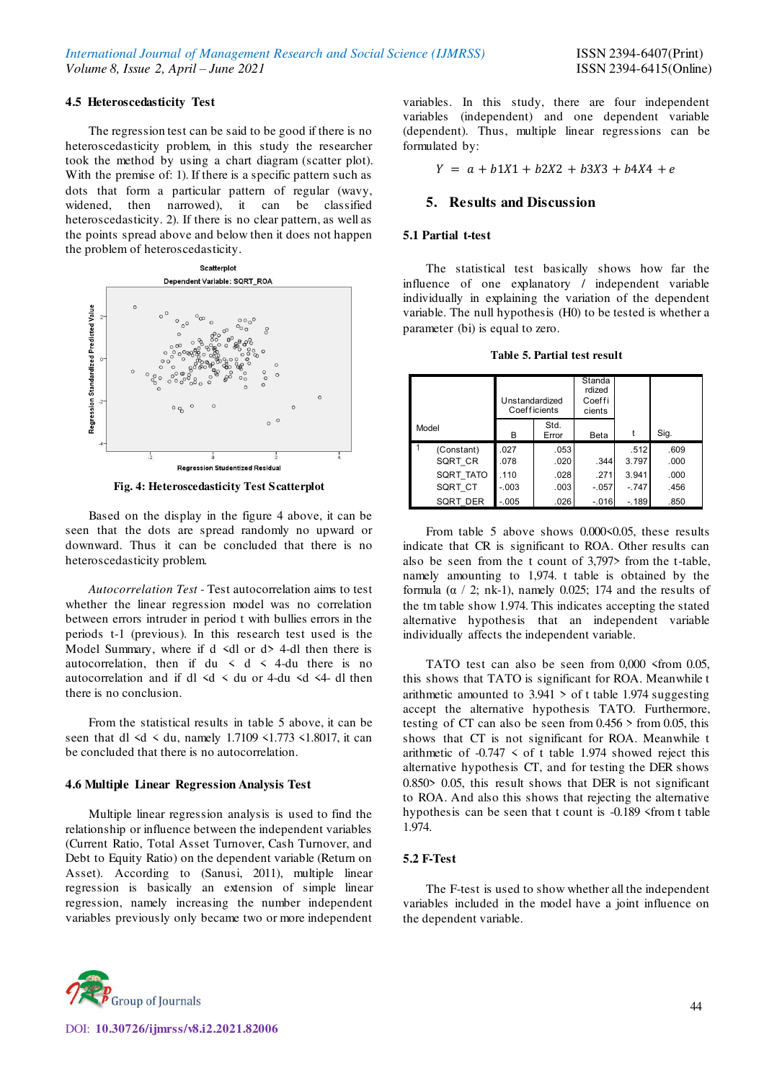#### **4.5 Heteroscedasticity Test**

The regression test can be said to be good if there is no heteroscedasticity problem, in this study the researcher took the method by using a chart diagram (scatter plot). With the premise of: 1). If there is a specific pattern such as dots that form a particular pattern of regular (wavy, widened, then narrowed), it can be classified heteroscedasticity. 2). If there is no clear pattern, as well as the points spread above and below then it does not happen the problem of heteroscedasticity.





Based on the display in the figure 4 above, it can be seen that the dots are spread randomly no upward or downward. Thus it can be concluded that there is no heteroscedasticity problem.

*Autocorrelation Test -* Test autocorrelation aims to test whether the linear regression model was no correlation between errors intruder in period t with bullies errors in the periods t-1 (previous). In this research test used is the Model Summary, where if  $d \le d$  or  $d > 4$ -dl then there is autocorrelation, then if du  $\lt d \lt 4$ -du there is no autocorrelation and if dl  $\leq d \leq du$  or 4-du  $\leq d \leq 4$ - dl then there is no conclusion.

From the statistical results in table 5 above, it can be seen that dl  $\le d \le du$ , namely 1.7109  $\le 1.773 \le 1.8017$ , it can be concluded that there is no autocorrelation.

#### **4.6 Multiple Linear Regression Analysis Test**

Multiple linear regression analysis is used to find the relationship or influence between the independent variables (Current Ratio, Total Asset Turnover, Cash Turnover, and Debt to Equity Ratio) on the dependent variable (Return on Asset). According to (Sanusi, 2011), multiple linear regression is basically an extension of simple linear regression, namely increasing the number independent variables previously only became two or more independent

variables. In this study, there are four independent variables (independent) and one dependent variable (dependent). Thus, multiple linear regressions can be formulated by:

 $Y = a + b1X1 + b2X2 + b3X3 + b4X4 + e$ 

#### **5. Results and Discussion**

#### **5.1 Partial t-test**

The statistical test basically shows how far the influence of one explanatory / independent variable individually in explaining the variation of the dependent variable. The null hypothesis (H0) to be tested is whether a parameter (bi) is equal to zero.

**Table 5. Partial test result** 

|       |            | Unstandardized | Coefficients  | Standa<br>rdized<br>Coeffi<br>cients |         |      |
|-------|------------|----------------|---------------|--------------------------------------|---------|------|
| Model |            | в              | Std.<br>Error | Beta                                 |         | Sig. |
|       | (Constant) | .027           | .053          |                                      | .512    | .609 |
|       | SQRT CR    | .078           | .020          | .344                                 | 3.797   | .000 |
|       | SQRT TATO  | .110           | .028          | .271                                 | 3.941   | .000 |
|       | SQRT CT    | $-.003$        | .003          | $-.057$                              | $-.747$ | .456 |
|       | SQRT DER   | $-.005$        | .026          | $-.016$                              | $-.189$ | .850 |

From table 5 above shows 0.000 < 0.05, these results indicate that CR is significant to ROA. Other results can also be seen from the t count of 3,797> from the t-table, namely amounting to 1,974. t table is obtained by the formula ( $\alpha$  / 2; nk-1), namely 0.025; 174 and the results of the tm table show 1.974. This indicates accepting the stated alternative hypothesis that an independent variable individually affects the independent variable.

TATO test can also be seen from 0,000  $\le$  from 0.05, this shows that TATO is significant for ROA. Meanwhile t arithmetic amounted to 3.941 > of t table 1.974 suggesting accept the alternative hypothesis TATO. Furthermore, testing of CT can also be seen from 0.456 > from 0.05, this shows that CT is not significant for ROA. Meanwhile t arithmetic of  $-0.747 \le$  of t table 1.974 showed reject this alternative hypothesis CT, and for testing the DER shows 0.850> 0.05, this result shows that DER is not significant to ROA. And also this shows that rejecting the alternative hypothesis can be seen that t count is -0.189 <from t table 1.974.

#### **5.2 F-Test**

The F-test is used to show whether all the independent variables included in the model have a joint influence on the dependent variable.

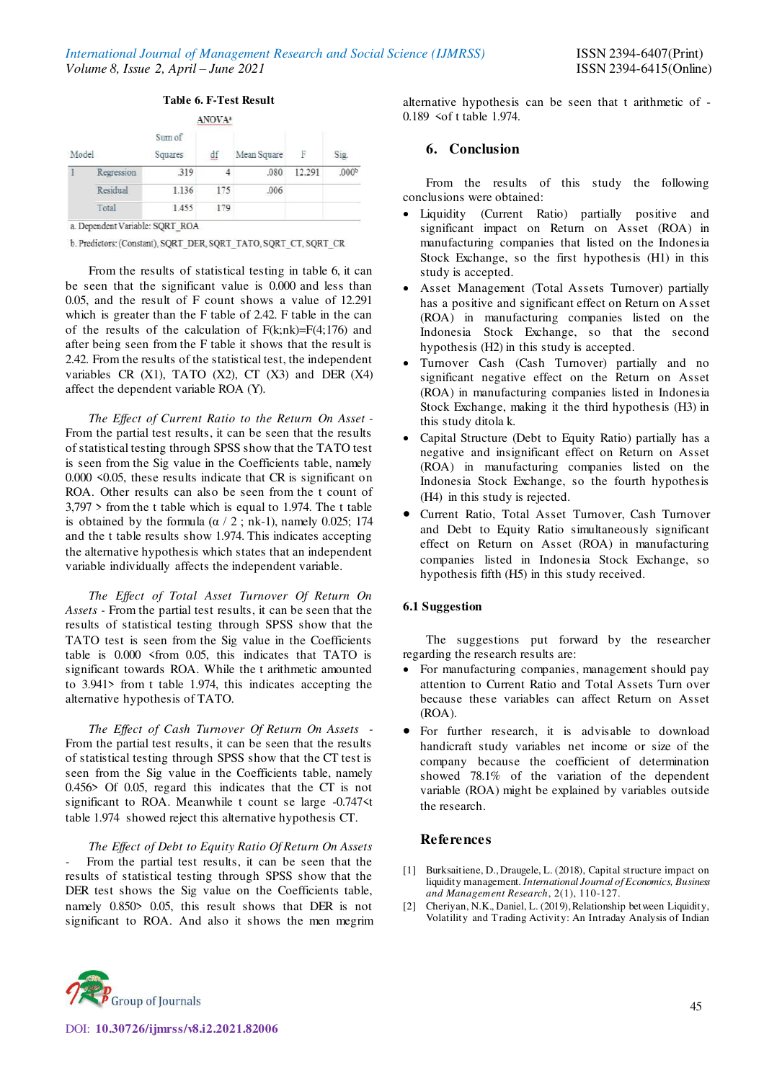|       |            |                   | ANOVA <sup>2</sup> |             |        |                   |  |
|-------|------------|-------------------|--------------------|-------------|--------|-------------------|--|
| Model |            | Sum of<br>Squares | df                 | Mean Square | F      | Sig.              |  |
|       | Regression | 319               |                    | .080        | 12.291 | .000 <sup>b</sup> |  |
|       | Residual   | 1.136             | 175                | .006        |        |                   |  |
|       | Total      | 1.455             | 179                |             |        |                   |  |

**Table 6. F-Test Result** 

a. Dependent Variable: SQRT\_ROA

b. Predictors: (Constant), SQRT\_DER, SQRT\_TATO, SQRT\_CT, SQRT\_CR

From the results of statistical testing in table 6, it can be seen that the significant value is 0.000 and less than 0.05, and the result of F count shows a value of 12.291 which is greater than the F table of 2.42. F table in the can of the results of the calculation of  $F(k;nk)=F(4;176)$  and after being seen from the F table it shows that the result is 2.42. From the results of the statistical test, the independent variables CR  $(X1)$ , TATO  $(X2)$ , CT  $(X3)$  and DER  $(X4)$ affect the dependent variable ROA (Y).

*The Effect of Current Ratio to the Return On Asset -*  From the partial test results, it can be seen that the results of statistical testing through SPSS show that the TATO test is seen from the Sig value in the Coefficients table, namely 0.000 <0.05, these results indicate that CR is significant on ROA. Other results can also be seen from the t count of 3,797 > from the t table which is equal to 1.974. The t table is obtained by the formula ( $\alpha$  / 2; nk-1), namely 0.025; 174 and the t table results show 1.974. This indicates accepting the alternative hypothesis which states that an independent variable individually affects the independent variable.

*The Effect of Total Asset Turnover Of Return On Assets -* From the partial test results, it can be seen that the results of statistical testing through SPSS show that the TATO test is seen from the Sig value in the Coefficients table is 0.000 <from 0.05, this indicates that TATO is significant towards ROA. While the t arithmetic amounted to 3.941> from t table 1.974, this indicates accepting the alternative hypothesis of TATO.

*The Effect of Cash Turnover Of Return On Assets -*  From the partial test results, it can be seen that the results of statistical testing through SPSS show that the CT test is seen from the Sig value in the Coefficients table, namely 0.456> Of 0.05, regard this indicates that the CT is not significant to ROA. Meanwhile t count se large -0.747<t table 1.974 showed reject this alternative hypothesis CT.

*The Effect of Debt to Equity Ratio Of Return On Assets*  From the partial test results, it can be seen that the results of statistical testing through SPSS show that the DER test shows the Sig value on the Coefficients table, namely 0.850> 0.05, this result shows that DER is not significant to ROA. And also it shows the men megrim alternative hypothesis can be seen that t arithmetic of - 0.189 <of t table 1.974.

# **6. Conclusion**

From the results of this study the following conclusions were obtained:

- Liquidity (Current Ratio) partially positive and significant impact on Return on Asset (ROA) in manufacturing companies that listed on the Indonesia Stock Exchange, so the first hypothesis (H1) in this study is accepted.
- Asset Management (Total Assets Turnover) partially has a positive and significant effect on Return on Asset (ROA) in manufacturing companies listed on the Indonesia Stock Exchange, so that the second hypothesis (H2) in this study is accepted.
- Turnover Cash (Cash Turnover) partially and no significant negative effect on the Return on Asset (ROA) in manufacturing companies listed in Indonesia Stock Exchange, making it the third hypothesis (H3) in this study ditola k.
- Capital Structure (Debt to Equity Ratio) partially has a negative and insignificant effect on Return on Asset (ROA) in manufacturing companies listed on the Indonesia Stock Exchange, so the fourth hypothesis (H4) in this study is rejected.
- Current Ratio, Total Asset Turnover, Cash Turnover and Debt to Equity Ratio simultaneously significant effect on Return on Asset (ROA) in manufacturing companies listed in Indonesia Stock Exchange, so hypothesis fifth (H5) in this study received.

## **6.1 Suggestion**

The suggestions put forward by the researcher regarding the research results are:

- For manufacturing companies, management should pay attention to Current Ratio and Total Assets Turn over because these variables can affect Return on Asset (ROA).
- For further research, it is advisable to download handicraft study variables net income or size of the company because the coefficient of determination showed 78.1% of the variation of the dependent variable (ROA) might be explained by variables outside the research.

## **References**

- [1] Burksaitiene, D., Draugele, L. (2018), Capital structure impact on liquidity management. *International Journal of Economics, Business and Management Research*, 2(1), 110-127.
- [2] Cheriyan, N.K., Daniel, L. (2019), Relationship between Liquidity, Volatility and Trading Activity: An Intraday Analysis of Indian